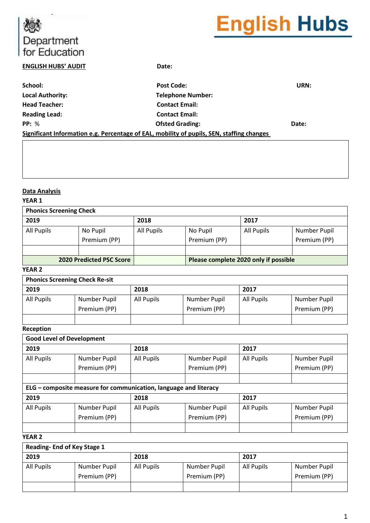# Department<br>for Education

# **English Hubs**

#### **ENGLISH HUBS' AUDIT Date:**

| School:                 | <b>Post Code:</b>                                                                         | URN:  |
|-------------------------|-------------------------------------------------------------------------------------------|-------|
| <b>Local Authority:</b> | <b>Telephone Number:</b>                                                                  |       |
| <b>Head Teacher:</b>    | <b>Contact Email:</b>                                                                     |       |
| <b>Reading Lead:</b>    | <b>Contact Email:</b>                                                                     |       |
| PP: %                   | <b>Ofsted Grading:</b>                                                                    | Date: |
|                         | Significant Information e.g. Percentage of EAL, mobility of pupils, SEN, staffing changes |       |

#### **Data Analysis**

#### **YEAR 1**

| <b>Phonics Screening Check</b>  |                          |            |                                       |            |                              |  |  |  |  |
|---------------------------------|--------------------------|------------|---------------------------------------|------------|------------------------------|--|--|--|--|
| 2019                            |                          | 2018       |                                       | 2017       |                              |  |  |  |  |
| All Pupils                      | No Pupil<br>Premium (PP) | All Pupils | No Pupil<br>Premium (PP)              | All Pupils | Number Pupil<br>Premium (PP) |  |  |  |  |
|                                 |                          |            |                                       |            |                              |  |  |  |  |
| <b>2020 Predicted PSC Score</b> |                          |            | Please complete 2020 only if possible |            |                              |  |  |  |  |

#### **YEAR 2**

### **Phonics Screening Check Re-sit**

| $\ldots$   |              |                                          |              |      |              |  |  |  |  |
|------------|--------------|------------------------------------------|--------------|------|--------------|--|--|--|--|
| 2019       |              | 2018                                     |              | 2017 |              |  |  |  |  |
| All Pupils | Number Pupil | All Pupils<br>All Pupils<br>Number Pupil |              |      | Number Pupil |  |  |  |  |
|            | Premium (PP) |                                          | Premium (PP) |      | Premium (PP) |  |  |  |  |
|            |              |                                          |              |      |              |  |  |  |  |

#### **Reception**

| <b>Good Level of Development</b> |                                                                  |              |                   |              |              |  |  |  |
|----------------------------------|------------------------------------------------------------------|--------------|-------------------|--------------|--------------|--|--|--|
| 2019                             |                                                                  | 2018         |                   | 2017         |              |  |  |  |
| All Pupils                       | Number Pupil                                                     | All Pupils   | Number Pupil      | All Pupils   | Number Pupil |  |  |  |
|                                  | Premium (PP)                                                     | Premium (PP) |                   |              | Premium (PP) |  |  |  |
|                                  |                                                                  |              |                   |              |              |  |  |  |
|                                  | ELG - composite measure for communication, language and literacy |              |                   |              |              |  |  |  |
| 2019                             |                                                                  | 2018         |                   | 2017         |              |  |  |  |
| All Pupils                       | All Pupils<br>Number Pupil<br>Number Pupil                       |              | <b>All Pupils</b> | Number Pupil |              |  |  |  |
|                                  | Premium (PP)                                                     |              | Premium (PP)      |              | Premium (PP) |  |  |  |
|                                  |                                                                  |              |                   |              |              |  |  |  |

#### **YEAR 2**

| <b>Reading-End of Key Stage 1</b> |                                            |      |              |              |              |  |  |  |  |
|-----------------------------------|--------------------------------------------|------|--------------|--------------|--------------|--|--|--|--|
| 2019                              |                                            | 2018 |              | 2017         |              |  |  |  |  |
| All Pupils                        | Number Pupil<br>Number Pupil<br>All Pupils |      | All Pupils   | Number Pupil |              |  |  |  |  |
|                                   | Premium (PP)                               |      | Premium (PP) |              | Premium (PP) |  |  |  |  |
|                                   |                                            |      |              |              |              |  |  |  |  |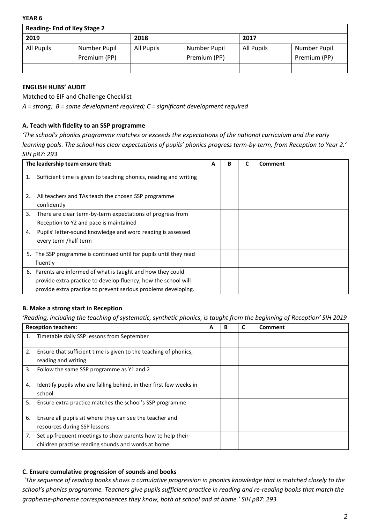**YEAR 6**

| <b>Reading-End of Key Stage 2</b> |                              |            |                              |            |                              |  |  |  |
|-----------------------------------|------------------------------|------------|------------------------------|------------|------------------------------|--|--|--|
| 2019                              |                              | 2018       |                              | 2017       |                              |  |  |  |
| All Pupils                        | Number Pupil<br>Premium (PP) | All Pupils | Number Pupil<br>Premium (PP) | All Pupils | Number Pupil<br>Premium (PP) |  |  |  |
|                                   |                              |            |                              |            |                              |  |  |  |

#### **ENGLISH HUBS' AUDIT**

Matched to EIF and Challenge Checklist

*A = strong; B = some development required; C = significant development required*

#### **A. Teach with fidelity to an SSP programme**

*'The school's phonics programme matches or exceeds the expectations of the national curriculum and the early learning goals. The school has clear expectations of pupils' phonics progress term-by-term, from Reception to Year 2.' SIH p87: 293*

|    | The leadership team ensure that:                                   | A | B | Comment |
|----|--------------------------------------------------------------------|---|---|---------|
| 1. | Sufficient time is given to teaching phonics, reading and writing  |   |   |         |
| 2. | All teachers and TAs teach the chosen SSP programme<br>confidently |   |   |         |
| 3. | There are clear term-by-term expectations of progress from         |   |   |         |
|    | Reception to Y2 and pace is maintained                             |   |   |         |
| 4. | Pupils' letter-sound knowledge and word reading is assessed        |   |   |         |
|    | every term /half term                                              |   |   |         |
|    | 5. The SSP programme is continued until for pupils until they read |   |   |         |
|    | fluently                                                           |   |   |         |
| 6. | Parents are informed of what is taught and how they could          |   |   |         |
|    | provide extra practice to develop fluency; how the school will     |   |   |         |
|    | provide extra practice to prevent serious problems developing.     |   |   |         |

#### **B. Make a strong start in Reception**

*'Reading, including the teaching of systematic, synthetic phonics, is taught from the beginning of Reception' SIH 2019*

|    | <b>Reception teachers:</b>                                                                                       | А | B | C | Comment |
|----|------------------------------------------------------------------------------------------------------------------|---|---|---|---------|
| 1. | Timetable daily SSP lessons from September                                                                       |   |   |   |         |
| 2. | Ensure that sufficient time is given to the teaching of phonics,<br>reading and writing                          |   |   |   |         |
| 3. | Follow the same SSP programme as Y1 and 2                                                                        |   |   |   |         |
| 4. | Identify pupils who are falling behind, in their first few weeks in<br>school                                    |   |   |   |         |
| 5. | Ensure extra practice matches the school's SSP programme                                                         |   |   |   |         |
| 6. | Ensure all pupils sit where they can see the teacher and<br>resources during SSP lessons                         |   |   |   |         |
| 7. | Set up frequent meetings to show parents how to help their<br>children practise reading sounds and words at home |   |   |   |         |

#### **C. Ensure cumulative progression of sounds and books**

*'The sequence of reading books shows a cumulative progression in phonics knowledge that is matched closely to the school's phonics programme. Teachers give pupils sufficient practice in reading and re-reading books that match the grapheme-phoneme correspondences they know, both at school and at home.' SIH p87: 293*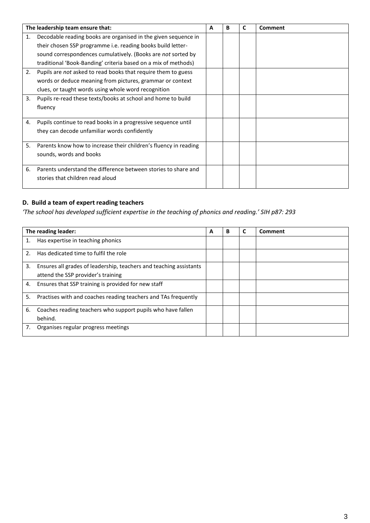|    | The leadership team ensure that:                                 | A | в | C | Comment |
|----|------------------------------------------------------------------|---|---|---|---------|
| 1. | Decodable reading books are organised in the given sequence in   |   |   |   |         |
|    | their chosen SSP programme i.e. reading books build letter-      |   |   |   |         |
|    | sound correspondences cumulatively. (Books are not sorted by     |   |   |   |         |
|    | traditional 'Book-Banding' criteria based on a mix of methods)   |   |   |   |         |
| 2. | Pupils are not asked to read books that require them to guess    |   |   |   |         |
|    | words or deduce meaning from pictures, grammar or context        |   |   |   |         |
|    | clues, or taught words using whole word recognition              |   |   |   |         |
| 3. | Pupils re-read these texts/books at school and home to build     |   |   |   |         |
|    | fluency                                                          |   |   |   |         |
| 4. | Pupils continue to read books in a progressive sequence until    |   |   |   |         |
|    | they can decode unfamiliar words confidently                     |   |   |   |         |
| 5. | Parents know how to increase their children's fluency in reading |   |   |   |         |
|    | sounds, words and books                                          |   |   |   |         |
| 6. | Parents understand the difference between stories to share and   |   |   |   |         |
|    | stories that children read aloud                                 |   |   |   |         |

## **D. Build a team of expert reading teachers**

*'The school has developed sufficient expertise in the teaching of phonics and reading.' SIH p87: 293*

|    | The reading leader:                                                | А | В | Comment |
|----|--------------------------------------------------------------------|---|---|---------|
| 1. | Has expertise in teaching phonics                                  |   |   |         |
| 2. | Has dedicated time to fulfil the role                              |   |   |         |
| 3. | Ensures all grades of leadership, teachers and teaching assistants |   |   |         |
|    | attend the SSP provider's training                                 |   |   |         |
| 4. | Ensures that SSP training is provided for new staff                |   |   |         |
| 5. | Practises with and coaches reading teachers and TAs frequently     |   |   |         |
| 6. | Coaches reading teachers who support pupils who have fallen        |   |   |         |
|    | behind.                                                            |   |   |         |
| 7. | Organises regular progress meetings                                |   |   |         |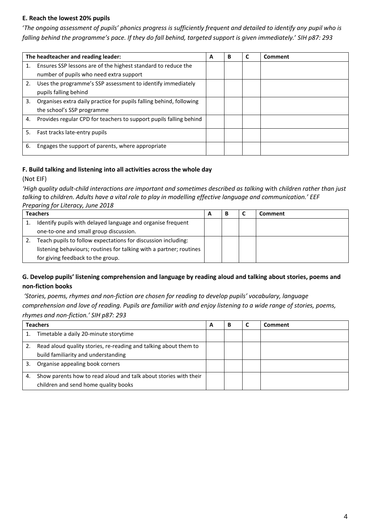#### **E. Reach the lowest 20% pupils**

'The ongoing assessment of pupils' phonics progress is sufficiently frequent and detailed to identify any pupil who is *falling behind the programme's pace. If they do fall behind, targeted support is given immediately.*' *SIH p87: 293*

|    | The headteacher and reading leader:                                 | А | В | C | Comment |
|----|---------------------------------------------------------------------|---|---|---|---------|
| 1. | Ensures SSP lessons are of the highest standard to reduce the       |   |   |   |         |
|    | number of pupils who need extra support                             |   |   |   |         |
| 2. | Uses the programme's SSP assessment to identify immediately         |   |   |   |         |
|    | pupils falling behind                                               |   |   |   |         |
| 3. | Organises extra daily practice for pupils falling behind, following |   |   |   |         |
|    | the school's SSP programme                                          |   |   |   |         |
| 4. | Provides regular CPD for teachers to support pupils falling behind  |   |   |   |         |
| 5. | Fast tracks late-entry pupils                                       |   |   |   |         |
| 6. | Engages the support of parents, where appropriate                   |   |   |   |         |

#### **F. Build talking and listening into all activities across the whole day**

(Not EIF)

*'High quality adult-child interactions are important and sometimes described as talking* with *children rather than just talking* to *children. Adults have a vital role to play in modelling effective language and communication.' EEF Preparing for Literacy, June 2018*

| <b>Teachers</b><br>A                                                |  | В | Comment |
|---------------------------------------------------------------------|--|---|---------|
| Identify pupils with delayed language and organise frequent         |  |   |         |
| one-to-one and small group discussion.                              |  |   |         |
| Teach pupils to follow expectations for discussion including:       |  |   |         |
| listening behaviours; routines for talking with a partner; routines |  |   |         |
| for giving feedback to the group.                                   |  |   |         |

#### **G. Develop pupils' listening comprehension and language by reading aloud and talking about stories, poems and non-fiction books**

*'Stories, poems, rhymes and non-fiction are chosen for reading to develop pupils' vocabulary, language comprehension and love of reading. Pupils are familiar with and enjoy listening to a wide range of stories, poems, rhymes and non-fiction.' SIH p87: 293*

| <b>Teachers</b> |                                                                  | А |  | Comment |
|-----------------|------------------------------------------------------------------|---|--|---------|
|                 | Timetable a daily 20-minute storytime                            |   |  |         |
|                 | Read aloud quality stories, re-reading and talking about them to |   |  |         |
|                 | build familiarity and understanding                              |   |  |         |
|                 | Organise appealing book corners                                  |   |  |         |
| 4.              | Show parents how to read aloud and talk about stories with their |   |  |         |
|                 | children and send home quality books                             |   |  |         |